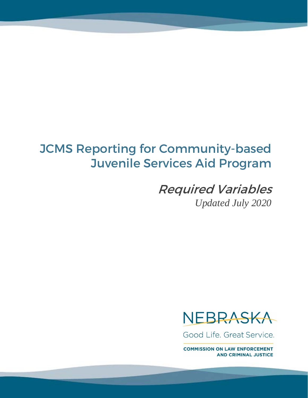# JCMS Reporting for Community-based Juvenile Services Aid Program

Required Variables *Updated July 2020*



Good Life, Great Service.

**COMMISSION ON LAW ENFORCEMENT AND CRIMINAL JUSTICE**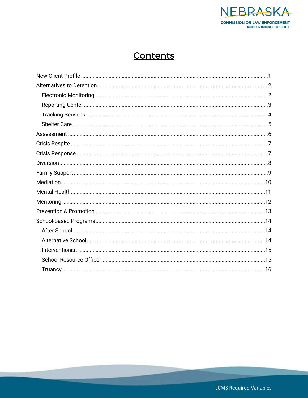

## Contents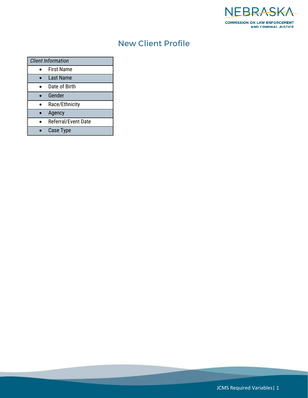

### New Client Profile

<span id="page-2-0"></span>

| <b>Client Information</b> |                            |  |
|---------------------------|----------------------------|--|
|                           | <b>First Name</b>          |  |
|                           | Last Name                  |  |
|                           | Date of Birth              |  |
|                           | Gender                     |  |
|                           | Race/Ethnicity             |  |
|                           | Agency                     |  |
|                           | <b>Referral/Event Date</b> |  |
|                           | <b>Case Type</b>           |  |

JCMS Required Variables| 1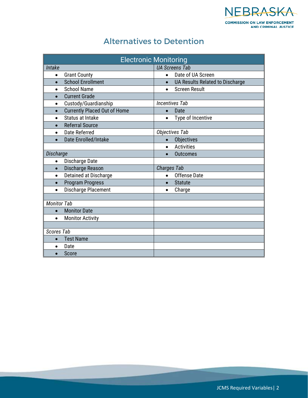

#### Alternatives to Detention

<span id="page-3-1"></span><span id="page-3-0"></span>

| <b>Electronic Monitoring</b>                     |                                              |  |  |
|--------------------------------------------------|----------------------------------------------|--|--|
| Intake                                           | <b>UA Screens Tab</b>                        |  |  |
| <b>Grant County</b><br>$\bullet$                 | Date of UA Screen<br>$\bullet$               |  |  |
| <b>School Enrollment</b><br>$\bullet$            | UA Results Related to Discharge<br>$\bullet$ |  |  |
| <b>School Name</b><br>$\bullet$                  | <b>Screen Result</b><br>$\bullet$            |  |  |
| <b>Current Grade</b><br>$\bullet$                |                                              |  |  |
| Custody/Guardianship<br>$\bullet$                | <b>Incentives Tab</b>                        |  |  |
| <b>Currently Placed Out of Home</b><br>$\bullet$ | Date<br>$\bullet$                            |  |  |
| <b>Status at Intake</b><br>$\bullet$             | Type of Incentive<br>$\bullet$               |  |  |
| <b>Referral Source</b><br>$\bullet$              |                                              |  |  |
| <b>Date Referred</b><br>$\bullet$                | <b>Objectives Tab</b>                        |  |  |
| Date Enrolled/Intake<br>$\bullet$                | Objectives<br>$\bullet$                      |  |  |
|                                                  | <b>Activities</b><br>$\bullet$               |  |  |
| Discharge                                        | <b>Outcomes</b>                              |  |  |
| Discharge Date<br>$\bullet$                      |                                              |  |  |
| Discharge Reason<br>$\bullet$                    | <b>Charges Tab</b>                           |  |  |
| Detained at Discharge<br>$\bullet$               | Offense Date<br>$\bullet$                    |  |  |
| <b>Program Progress</b><br>$\bullet$             | <b>Statute</b><br>$\bullet$                  |  |  |
| <b>Discharge Placement</b><br>$\bullet$          | Charge<br>$\bullet$                          |  |  |
|                                                  |                                              |  |  |
| <b>Monitor Tab</b>                               |                                              |  |  |
| <b>Monitor Date</b><br>$\bullet$                 |                                              |  |  |
| <b>Monitor Activity</b><br>$\bullet$             |                                              |  |  |
|                                                  |                                              |  |  |
| <b>Scores Tab</b>                                |                                              |  |  |
| <b>Test Name</b><br>$\bullet$                    |                                              |  |  |
| Date                                             |                                              |  |  |
| Score                                            |                                              |  |  |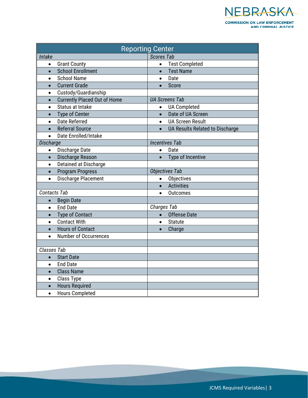

<span id="page-4-0"></span>

| <b>Reporting Center</b> |                                     |                   |                                 |
|-------------------------|-------------------------------------|-------------------|---------------------------------|
| Intake                  |                                     | <b>Scores Tab</b> |                                 |
| $\bullet$               | <b>Grant County</b>                 | $\bullet$         | <b>Test Completed</b>           |
| $\bullet$               | <b>School Enrollment</b>            | $\bullet$         | <b>Test Name</b>                |
| $\bullet$               | <b>School Name</b>                  | $\bullet$         | Date                            |
| $\bullet$               | <b>Current Grade</b>                | $\bullet$         | Score                           |
| $\bullet$               | Custody/Guardianship                |                   |                                 |
| $\bullet$               | <b>Currently Placed Out of Home</b> |                   | <b>UA Screens Tab</b>           |
| $\bullet$               | <b>Status at Intake</b>             |                   | <b>UA Completed</b>             |
| $\bullet$               | <b>Type of Center</b>               | $\bullet$         | Date of UA Screen               |
| $\bullet$               | <b>Date Referred</b>                | $\bullet$         | <b>UA Screen Result</b>         |
| $\bullet$               | <b>Referral Source</b>              | $\bullet$         | UA Results Related to Discharge |
| $\bullet$               | Date Enrolled/Intake                |                   |                                 |
| Discharge               |                                     |                   | <b>Incentives Tab</b>           |
| $\bullet$               | Discharge Date                      | $\bullet$         | Date                            |
| $\bullet$               | Discharge Reason                    | $\bullet$         | Type of Incentive               |
| $\bullet$               | Detained at Discharge               |                   |                                 |
| $\bullet$               | <b>Program Progress</b>             |                   | <b>Objectives Tab</b>           |
| $\bullet$               | Discharge Placement                 | $\bullet$         | <b>Objectives</b>               |
|                         |                                     | $\bullet$         | <b>Activities</b>               |
| <b>Contacts Tab</b>     |                                     | $\bullet$         | <b>Outcomes</b>                 |
| $\bullet$               | <b>Begin Date</b>                   |                   |                                 |
| $\bullet$               | <b>End Date</b>                     | Charges Tab       |                                 |
| $\bullet$               | <b>Type of Contact</b>              | $\bullet$         | <b>Offense Date</b>             |
| $\bullet$               | <b>Contact With</b>                 | $\bullet$         | <b>Statute</b>                  |
| $\bullet$               | <b>Hours of Contact</b>             |                   | Charge                          |
| $\bullet$               | <b>Number of Occurrences</b>        |                   |                                 |
|                         |                                     |                   |                                 |
| Classes Tab             |                                     |                   |                                 |
| $\bullet$               | <b>Start Date</b>                   |                   |                                 |
| $\bullet$               | <b>End Date</b>                     |                   |                                 |
| $\bullet$               | <b>Class Name</b>                   |                   |                                 |
| $\bullet$               | <b>Class Type</b>                   |                   |                                 |
| $\bullet$               | <b>Hours Required</b>               |                   |                                 |
| $\bullet$               | <b>Hours Completed</b>              |                   |                                 |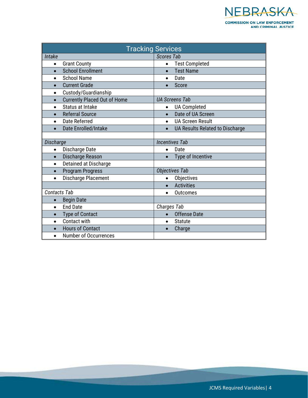

<span id="page-5-0"></span>

| <b>Tracking Services</b> |                                     |                       |                                 |
|--------------------------|-------------------------------------|-----------------------|---------------------------------|
| Intake                   |                                     | <b>Scores Tab</b>     |                                 |
| $\bullet$                | <b>Grant County</b>                 | $\bullet$             | <b>Test Completed</b>           |
| $\bullet$                | <b>School Enrollment</b>            | $\bullet$             | <b>Test Name</b>                |
| $\bullet$                | <b>School Name</b>                  | $\bullet$             | Date                            |
| $\bullet$                | <b>Current Grade</b>                |                       | Score                           |
| $\bullet$                | Custody/Guardianship                |                       |                                 |
| $\bullet$                | <b>Currently Placed Out of Home</b> |                       | <b>UA Screens Tab</b>           |
| $\bullet$                | <b>Status at Intake</b>             | $\bullet$             | <b>UA Completed</b>             |
| $\bullet$                | <b>Referral Source</b>              | $\bullet$             | Date of UA Screen               |
| $\bullet$                | <b>Date Referred</b>                | $\bullet$             | <b>UA Screen Result</b>         |
| $\bullet$                | Date Enrolled/Intake                |                       | UA Results Related to Discharge |
|                          |                                     |                       |                                 |
| Discharge                |                                     | <b>Incentives Tab</b> |                                 |
| $\bullet$                | Discharge Date                      | $\bullet$             | Date                            |
| $\bullet$                | Discharge Reason                    | $\bullet$             | Type of Incentive               |
|                          | Detained at Discharge               |                       |                                 |
| $\bullet$                | <b>Program Progress</b>             | <b>Objectives Tab</b> |                                 |
| $\bullet$                | <b>Discharge Placement</b>          | $\bullet$             | Objectives                      |
|                          |                                     | $\bullet$             | <b>Activities</b>               |
| Contacts Tab             |                                     |                       | <b>Outcomes</b>                 |
| $\bullet$                | <b>Begin Date</b>                   |                       |                                 |
| $\bullet$                | <b>End Date</b>                     | Charges Tab           |                                 |
| $\bullet$                | <b>Type of Contact</b>              | $\bullet$             | <b>Offense Date</b>             |
| $\bullet$                | Contact with                        | $\bullet$             | <b>Statute</b>                  |
| $\bullet$                | <b>Hours of Contact</b>             |                       | Charge                          |
| $\bullet$                | <b>Number of Occurrences</b>        |                       |                                 |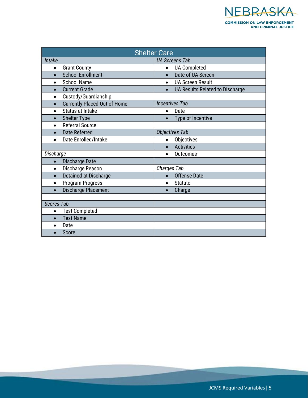

<span id="page-6-0"></span>

| <b>Shelter Care</b>                              |                                      |  |  |
|--------------------------------------------------|--------------------------------------|--|--|
| Intake                                           | <b>UA Screens Tab</b>                |  |  |
| <b>Grant County</b><br>$\bullet$                 | <b>UA Completed</b><br>$\bullet$     |  |  |
| <b>School Enrollment</b><br>$\bullet$            | Date of UA Screen<br>$\bullet$       |  |  |
| <b>School Name</b><br>$\bullet$                  | <b>UA Screen Result</b><br>$\bullet$ |  |  |
| <b>Current Grade</b>                             | UA Results Related to Discharge      |  |  |
| Custody/Guardianship<br>$\bullet$                |                                      |  |  |
| <b>Currently Placed Out of Home</b><br>$\bullet$ | <b>Incentives Tab</b>                |  |  |
| Status at Intake<br>$\bullet$                    | Date<br>$\bullet$                    |  |  |
| <b>Shelter Type</b><br>$\bullet$                 | Type of Incentive<br>$\bullet$       |  |  |
| <b>Referral Source</b><br>$\bullet$              |                                      |  |  |
| <b>Date Referred</b>                             | <b>Objectives Tab</b>                |  |  |
| Date Enrolled/Intake                             | Objectives<br>$\bullet$              |  |  |
|                                                  | <b>Activities</b><br>$\bullet$       |  |  |
| Discharge                                        | <b>Outcomes</b><br>$\bullet$         |  |  |
| Discharge Date<br>$\bullet$                      |                                      |  |  |
| Discharge Reason<br>$\bullet$                    | Charges Tab                          |  |  |
| Detained at Discharge<br>$\bullet$               | <b>Offense Date</b><br>$\bullet$     |  |  |
| Program Progress<br>$\bullet$                    | <b>Statute</b><br>$\bullet$          |  |  |
| <b>Discharge Placement</b><br>$\bullet$          | Charge                               |  |  |
|                                                  |                                      |  |  |
| <b>Scores Tab</b>                                |                                      |  |  |
| <b>Test Completed</b><br>$\bullet$               |                                      |  |  |
| <b>Test Name</b>                                 |                                      |  |  |
| Date                                             |                                      |  |  |
| Score                                            |                                      |  |  |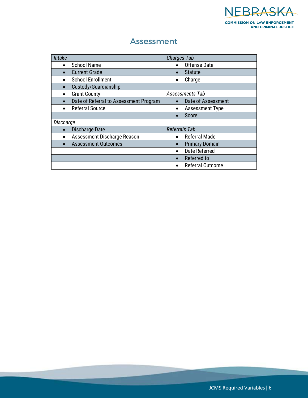

#### Assessment

<span id="page-7-0"></span>

| Intake                                 | <b>Charges Tab</b>      |
|----------------------------------------|-------------------------|
| <b>School Name</b><br>$\bullet$        | Offense Date            |
| <b>Current Grade</b><br>$\bullet$      | <b>Statute</b>          |
| <b>School Enrollment</b><br>٠          | Charge                  |
| Custody/Guardianship<br>$\bullet$      |                         |
| <b>Grant County</b><br>$\bullet$       | Assessments Tab         |
| Date of Referral to Assessment Program | Date of Assessment      |
| <b>Referral Source</b>                 | <b>Assessment Type</b>  |
|                                        | Score                   |
| Discharge                              |                         |
| Discharge Date                         | <b>Referrals Tab</b>    |
| Assessment Discharge Reason            | <b>Referral Made</b>    |
| <b>Assessment Outcomes</b>             | <b>Primary Domain</b>   |
|                                        | Date Referred           |
|                                        | Referred to             |
|                                        | <b>Referral Outcome</b> |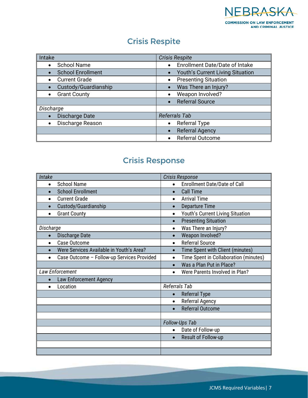

#### Crisis Respite

<span id="page-8-0"></span>

| Intake                   | <b>Crisis Respite</b>                 |  |
|--------------------------|---------------------------------------|--|
| <b>School Name</b>       | <b>Enrollment Date/Date of Intake</b> |  |
| <b>School Enrollment</b> | Youth's Current Living Situation      |  |
| <b>Current Grade</b>     | <b>Presenting Situation</b>           |  |
| Custody/Guardianship     | Was There an Injury?                  |  |
| <b>Grant County</b>      | Weapon Involved?                      |  |
|                          | <b>Referral Source</b>                |  |
| Discharge                |                                       |  |
| Discharge Date           | Referrals Tab                         |  |
| Discharge Reason         | <b>Referral Type</b>                  |  |
|                          | <b>Referral Agency</b>                |  |
|                          | Referral Outcome                      |  |

#### Crisis Response

<span id="page-8-1"></span>

| Intake                                     | Crisis Response                                    |
|--------------------------------------------|----------------------------------------------------|
| <b>School Name</b><br>$\bullet$            | <b>Enrollment Date/Date of Call</b><br>$\bullet$   |
| <b>School Enrollment</b>                   | <b>Call Time</b><br>$\bullet$                      |
| <b>Current Grade</b><br>$\bullet$          | <b>Arrival Time</b><br>$\bullet$                   |
| Custody/Guardianship<br>$\bullet$          | <b>Departure Time</b><br>$\bullet$                 |
| <b>Grant County</b><br>$\bullet$           | Youth's Current Living Situation<br>$\bullet$      |
|                                            | <b>Presenting Situation</b><br>$\bullet$           |
| Discharge                                  | Was There an Injury?<br>$\bullet$                  |
| Discharge Date                             | Weapon Involved?<br>$\bullet$                      |
| Case Outcome                               | <b>Referral Source</b><br>$\bullet$                |
| Were Services Available in Youth's Area?   | Time Spent with Client (minutes)<br>$\bullet$      |
| Case Outcome - Follow-up Services Provided | Time Spent in Collaboration (minutes)<br>$\bullet$ |
|                                            | Was a Plan Put in Place?<br>$\bullet$              |
| Law Enforcement                            | Were Parents Involved in Plan?                     |
| <b>Law Enforcement Agency</b>              |                                                    |
| Location                                   | Referrals Tab                                      |
|                                            | <b>Referral Type</b><br>$\bullet$                  |
|                                            | <b>Referral Agency</b><br>$\bullet$                |
|                                            | <b>Referral Outcome</b>                            |
|                                            |                                                    |
|                                            | Follow-Ups Tab                                     |
|                                            | Date of Follow-up<br>$\bullet$                     |
|                                            | Result of Follow-up<br>$\bullet$                   |
|                                            |                                                    |
|                                            |                                                    |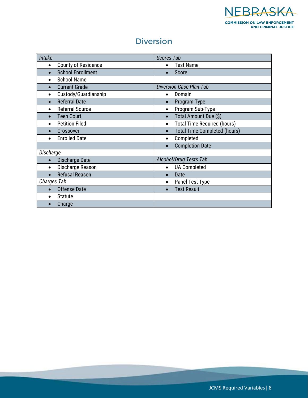

#### Diversion

<span id="page-9-0"></span>

| Intake                                  | <b>Scores Tab</b>                                |
|-----------------------------------------|--------------------------------------------------|
| <b>County of Residence</b><br>$\bullet$ | <b>Test Name</b><br>$\bullet$                    |
| <b>School Enrollment</b>                | Score                                            |
| <b>School Name</b>                      |                                                  |
| <b>Current Grade</b>                    | Diversion Case Plan Tab                          |
| Custody/Guardianship                    | Domain<br>$\bullet$                              |
| <b>Referral Date</b>                    | Program Type<br>$\bullet$                        |
| <b>Referral Source</b>                  | Program Sub-Type<br>$\bullet$                    |
| <b>Teen Court</b>                       | Total Amount Due (\$)<br>$\bullet$               |
| <b>Petition Filed</b>                   | <b>Total Time Required (hours)</b><br>$\bullet$  |
| Crossover                               | <b>Total Time Completed (hours)</b><br>$\bullet$ |
| <b>Enrolled Date</b>                    | Completed<br>$\bullet$                           |
|                                         | <b>Completion Date</b><br>$\bullet$              |
| Discharge                               |                                                  |
| Discharge Date                          | Alcohol/Drug Tests Tab                           |
| Discharge Reason                        | <b>UA Completed</b><br>$\bullet$                 |
| <b>Refusal Reason</b>                   | Date<br>$\bullet$                                |
| Charges Tab                             | Panel Test Type<br>$\bullet$                     |
| <b>Offense Date</b>                     | <b>Test Result</b><br>$\bullet$                  |
| <b>Statute</b>                          |                                                  |
| Charge                                  |                                                  |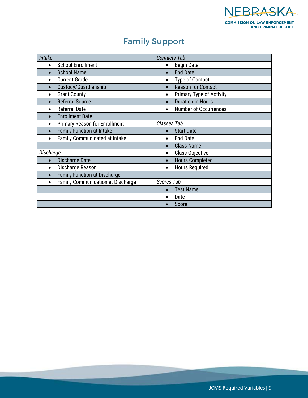

## Family Support

<span id="page-10-0"></span>

| Intake                                            | <b>Contacts Tab</b>                          |
|---------------------------------------------------|----------------------------------------------|
| <b>School Enrollment</b><br>$\bullet$             | <b>Begin Date</b><br>$\bullet$               |
| <b>School Name</b>                                | <b>End Date</b><br>$\bullet$                 |
| <b>Current Grade</b>                              | <b>Type of Contact</b>                       |
| Custody/Guardianship                              | <b>Reason for Contact</b><br>$\bullet$       |
| <b>Grant County</b>                               | <b>Primary Type of Activity</b><br>$\bullet$ |
| <b>Referral Source</b>                            | <b>Duration in Hours</b><br>$\bullet$        |
| <b>Referral Date</b>                              | <b>Number of Occurrences</b>                 |
| <b>Enrollment Date</b>                            |                                              |
| <b>Primary Reason for Enrollment</b><br>٠         | Classes Tab                                  |
| <b>Family Function at Intake</b>                  | <b>Start Date</b><br>$\bullet$               |
| <b>Family Communicated at Intake</b><br>$\bullet$ | <b>End Date</b><br>$\bullet$                 |
|                                                   | <b>Class Name</b>                            |
| Discharge                                         | Class Objective<br>$\bullet$                 |
| Discharge Date                                    | <b>Hours Completed</b><br>$\bullet$          |
| Discharge Reason                                  | <b>Hours Required</b><br>$\bullet$           |
| <b>Family Function at Discharge</b>               |                                              |
| <b>Family Communication at Discharge</b>          | <b>Scores Tab</b>                            |
|                                                   | <b>Test Name</b><br>$\bullet$                |
|                                                   | Date                                         |
|                                                   | Score                                        |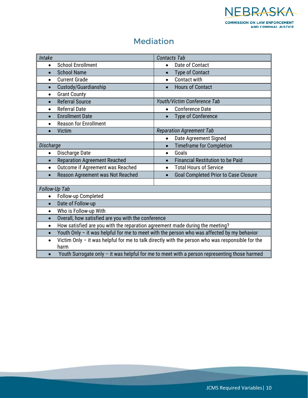

#### Mediation

<span id="page-11-0"></span>

| Intake                                                                                                                |                                                                                              | <b>Contacts Tab</b> |                                             |  |
|-----------------------------------------------------------------------------------------------------------------------|----------------------------------------------------------------------------------------------|---------------------|---------------------------------------------|--|
| $\bullet$                                                                                                             | <b>School Enrollment</b>                                                                     | $\bullet$           | Date of Contact                             |  |
| $\bullet$                                                                                                             | <b>School Name</b>                                                                           | $\bullet$           | <b>Type of Contact</b>                      |  |
| $\bullet$                                                                                                             | <b>Current Grade</b>                                                                         | $\bullet$           | Contact with                                |  |
| $\bullet$                                                                                                             | Custody/Guardianship                                                                         | $\bullet$           | <b>Hours of Contact</b>                     |  |
| $\bullet$                                                                                                             | <b>Grant County</b>                                                                          |                     |                                             |  |
| $\bullet$                                                                                                             | <b>Referral Source</b>                                                                       |                     | Youth/Victim Conference Tab                 |  |
| $\bullet$                                                                                                             | <b>Referral Date</b>                                                                         | $\bullet$           | <b>Conference Date</b>                      |  |
|                                                                                                                       | <b>Enrollment Date</b>                                                                       |                     | <b>Type of Conference</b>                   |  |
| $\bullet$                                                                                                             | <b>Reason for Enrollment</b>                                                                 |                     |                                             |  |
| $\bullet$                                                                                                             | <b>Victim</b>                                                                                |                     | <b>Reparation Agreement Tab</b>             |  |
|                                                                                                                       |                                                                                              |                     | Date Agreement Signed                       |  |
|                                                                                                                       | Discharge<br><b>Timeframe for Completion</b><br>$\bullet$                                    |                     |                                             |  |
| $\bullet$                                                                                                             | Discharge Date                                                                               | $\bullet$           | Goals                                       |  |
| $\bullet$                                                                                                             | <b>Reparation Agreement Reached</b>                                                          | $\bullet$           | <b>Financial Restitution to be Paid</b>     |  |
| $\bullet$                                                                                                             | Outcome if Agreement was Reached                                                             | $\bullet$           | <b>Total Hours of Service</b>               |  |
| $\bullet$                                                                                                             | Reason Agreement was Not Reached                                                             |                     | <b>Goal Completed Prior to Case Closure</b> |  |
|                                                                                                                       |                                                                                              |                     |                                             |  |
|                                                                                                                       | Follow-Up Tab                                                                                |                     |                                             |  |
| $\bullet$                                                                                                             | Follow-up Completed                                                                          |                     |                                             |  |
| $\bullet$                                                                                                             | Date of Follow-up                                                                            |                     |                                             |  |
| $\bullet$                                                                                                             | Who is Follow-up With                                                                        |                     |                                             |  |
| $\bullet$                                                                                                             | Overall, how satisfied are you with the conference                                           |                     |                                             |  |
| $\bullet$                                                                                                             | How satisfied are you with the reparation agreement made during the meeting?                 |                     |                                             |  |
| $\bullet$                                                                                                             | Youth Only - it was helpful for me to meet with the person who was affected by my behavior   |                     |                                             |  |
| Victim Only - it was helpful for me to talk directly with the person who was responsible for the<br>$\bullet$<br>harm |                                                                                              |                     |                                             |  |
| $\bullet$                                                                                                             | Youth Surrogate only - it was helpful for me to meet with a person representing those harmed |                     |                                             |  |

JCMS Required Variables| 10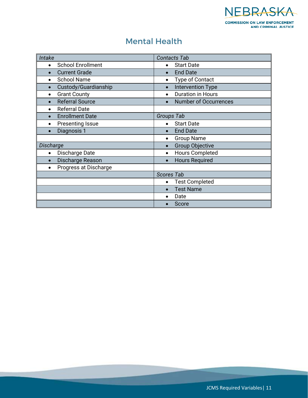

#### Mental Health

<span id="page-12-0"></span>

| Intake                                | <b>Contacts Tab</b>                   |
|---------------------------------------|---------------------------------------|
| <b>School Enrollment</b><br>$\bullet$ | <b>Start Date</b><br>$\bullet$        |
| <b>Current Grade</b>                  | <b>End Date</b><br>$\bullet$          |
| <b>School Name</b>                    | <b>Type of Contact</b><br>$\bullet$   |
| Custody/Guardianship                  | <b>Intervention Type</b><br>$\bullet$ |
| <b>Grant County</b><br>٠              | <b>Duration in Hours</b><br>$\bullet$ |
| <b>Referral Source</b>                | <b>Number of Occurrences</b>          |
| <b>Referral Date</b>                  |                                       |
| <b>Enrollment Date</b>                | Groups Tab                            |
| <b>Presenting Issue</b>               | <b>Start Date</b><br>$\bullet$        |
| Diagnosis 1                           | <b>End Date</b><br>$\bullet$          |
|                                       | <b>Group Name</b><br>$\bullet$        |
| Discharge                             | <b>Group Objective</b><br>$\bullet$   |
| Discharge Date                        | <b>Hours Completed</b><br>$\bullet$   |
| Discharge Reason                      | <b>Hours Required</b><br>$\bullet$    |
| Progress at Discharge                 |                                       |
|                                       | <b>Scores Tab</b>                     |
|                                       | <b>Test Completed</b>                 |
|                                       | <b>Test Name</b><br>$\bullet$         |
|                                       | Date                                  |
|                                       | Score                                 |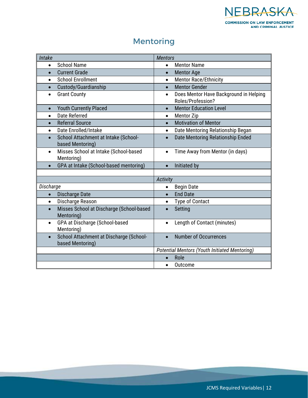

## Mentoring

<span id="page-13-0"></span>

| Intake                                                                   | <b>Mentors</b>                                                           |
|--------------------------------------------------------------------------|--------------------------------------------------------------------------|
| <b>School Name</b><br>$\bullet$                                          | <b>Mentor Name</b><br>$\bullet$                                          |
| <b>Current Grade</b><br>$\bullet$                                        | <b>Mentor Age</b><br>$\bullet$                                           |
| <b>School Enrollment</b><br>$\bullet$                                    | <b>Mentor Race/Ethnicity</b><br>$\bullet$                                |
| Custody/Guardianship<br>$\bullet$                                        | <b>Mentor Gender</b><br>$\bullet$                                        |
| <b>Grant County</b><br>$\bullet$                                         | Does Mentor Have Background in Helping<br>$\bullet$<br>Roles/Profession? |
| <b>Youth Currently Placed</b><br>$\bullet$                               | <b>Mentor Education Level</b><br>$\bullet$                               |
| Date Referred<br>$\bullet$                                               | <b>Mentor Zip</b><br>$\bullet$                                           |
| <b>Referral Source</b><br>$\bullet$                                      | <b>Motivation of Mentor</b><br>$\bullet$                                 |
| Date Enrolled/Intake<br>$\bullet$                                        | Date Mentoring Relationship Began<br>$\bullet$                           |
| School Attachment at Intake (School-<br>$\bullet$<br>based Mentoring)    | Date Mentoring Relationship Ended<br>$\bullet$                           |
| Misses School at Intake (School-based<br>$\bullet$<br>Mentoring)         | Time Away from Mentor (in days)<br>$\bullet$                             |
| GPA at Intake (School-based mentoring)                                   | Initiated by<br>$\bullet$                                                |
|                                                                          |                                                                          |
|                                                                          | <b>Activity</b>                                                          |
| Discharge                                                                | <b>Begin Date</b><br>$\bullet$                                           |
| <b>Discharge Date</b><br>$\bullet$                                       | <b>End Date</b><br>$\bullet$                                             |
| Discharge Reason<br>$\bullet$                                            | Type of Contact<br>$\bullet$                                             |
| Misses School at Discharge (School-based<br>$\bullet$<br>Mentoring)      | Setting<br>$\bullet$                                                     |
| GPA at Discharge (School-based<br>$\bullet$<br>Mentoring)                | Length of Contact (minutes)<br>$\bullet$                                 |
| School Attachment at Discharge (School-<br>$\bullet$<br>based Mentoring) | <b>Number of Occurrences</b><br>$\bullet$                                |
|                                                                          | <b>Potential Mentors (Youth Initiated Mentoring)</b>                     |
|                                                                          | Role<br>$\bullet$                                                        |
|                                                                          | Outcome<br>$\bullet$                                                     |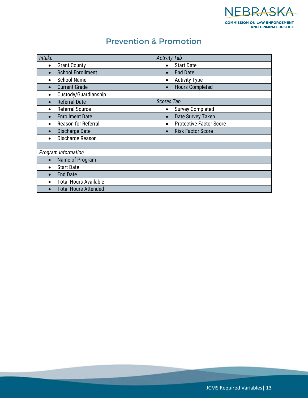

#### Prevention & Promotion

<span id="page-14-0"></span>

| Intake    |                              | <b>Activity Tab</b> |                                |
|-----------|------------------------------|---------------------|--------------------------------|
| $\bullet$ | <b>Grant County</b>          |                     | <b>Start Date</b>              |
|           | <b>School Enrollment</b>     | $\bullet$           | <b>End Date</b>                |
|           | <b>School Name</b>           | ٠                   | <b>Activity Type</b>           |
| $\bullet$ | <b>Current Grade</b>         | $\bullet$           | <b>Hours Completed</b>         |
|           | Custody/Guardianship         |                     |                                |
| $\bullet$ | <b>Referral Date</b>         | <b>Scores Tab</b>   |                                |
| $\bullet$ | <b>Referral Source</b>       | ٠                   | <b>Survey Completed</b>        |
| $\bullet$ | <b>Enrollment Date</b>       | $\bullet$           | Date Survey Taken              |
| $\bullet$ | <b>Reason for Referral</b>   | $\bullet$           | <b>Protective Factor Score</b> |
|           | Discharge Date               | $\bullet$           | <b>Risk Factor Score</b>       |
|           | Discharge Reason             |                     |                                |
|           |                              |                     |                                |
|           | Program Information          |                     |                                |
|           | Name of Program              |                     |                                |
|           | <b>Start Date</b>            |                     |                                |
|           | <b>End Date</b>              |                     |                                |
|           | <b>Total Hours Available</b> |                     |                                |
|           | <b>Total Hours Attended</b>  |                     |                                |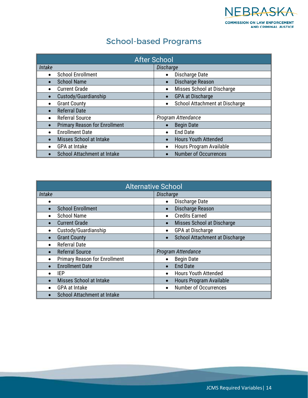

# School-based Programs

<span id="page-15-1"></span><span id="page-15-0"></span>

| <b>After School</b>                               |                                             |  |
|---------------------------------------------------|---------------------------------------------|--|
| Intake                                            | <b>Discharge</b>                            |  |
| <b>School Enrollment</b><br>$\bullet$             | Discharge Date<br>$\bullet$                 |  |
| <b>School Name</b>                                | Discharge Reason<br>$\bullet$               |  |
| <b>Current Grade</b><br>$\bullet$                 | Misses School at Discharge<br>$\bullet$     |  |
| Custody/Guardianship                              | <b>GPA at Discharge</b><br>$\bullet$        |  |
| <b>Grant County</b>                               | School Attachment at Discharge<br>$\bullet$ |  |
| <b>Referral Date</b>                              |                                             |  |
| <b>Referral Source</b><br>$\bullet$               | Program Attendance                          |  |
| <b>Primary Reason for Enrollment</b><br>$\bullet$ | <b>Begin Date</b>                           |  |
| <b>Enrollment Date</b>                            | <b>End Date</b><br>$\bullet$                |  |
| Misses School at Intake                           | <b>Hours Youth Attended</b><br>$\bullet$    |  |
| <b>GPA at Intake</b>                              | Hours Program Available<br>$\bullet$        |  |
| School Attachment at Intake                       | <b>Number of Occurrences</b>                |  |

<span id="page-15-2"></span>

| <b>Alternative School</b> |                                      |           |                                |
|---------------------------|--------------------------------------|-----------|--------------------------------|
| Intake                    |                                      | Discharge |                                |
|                           |                                      | $\bullet$ | Discharge Date                 |
|                           | <b>School Enrollment</b>             | $\bullet$ | Discharge Reason               |
|                           | <b>School Name</b>                   | $\bullet$ | <b>Credits Earned</b>          |
|                           | <b>Current Grade</b>                 | $\bullet$ | Misses School at Discharge     |
|                           | Custody/Guardianship                 | ٠         | <b>GPA at Discharge</b>        |
|                           | <b>Grant County</b>                  |           | School Attachment at Discharge |
| $\bullet$                 | <b>Referral Date</b>                 |           |                                |
|                           | <b>Referral Source</b>               |           | Program Attendance             |
|                           | <b>Primary Reason for Enrollment</b> | $\bullet$ | <b>Begin Date</b>              |
|                           | <b>Enrollment Date</b>               | $\bullet$ | <b>End Date</b>                |
|                           | IEP                                  | $\bullet$ | <b>Hours Youth Attended</b>    |
|                           | Misses School at Intake              | $\bullet$ | Hours Program Available        |
|                           | <b>GPA at Intake</b>                 | $\bullet$ | <b>Number of Occurrences</b>   |
|                           | <b>School Attachment at Intake</b>   |           |                                |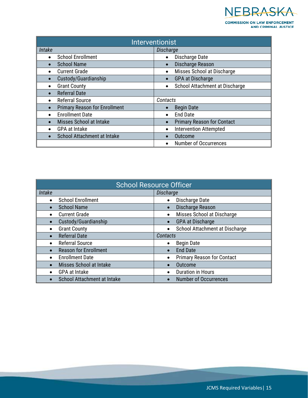NEBRASKA **COMMISSION ON LAW ENFORCEMENT<br>AND CRIMINAL JUSTICE** 

<span id="page-16-0"></span>

| <b>Interventionist</b>                   |                                                |  |
|------------------------------------------|------------------------------------------------|--|
| Intake                                   | Discharge                                      |  |
| <b>School Enrollment</b><br>$\bullet$    | Discharge Date<br>$\bullet$                    |  |
| <b>School Name</b><br>$\bullet$          | Discharge Reason<br>$\bullet$                  |  |
| <b>Current Grade</b>                     | Misses School at Discharge<br>$\bullet$        |  |
| Custody/Guardianship<br>$\bullet$        | GPA at Discharge<br>$\bullet$                  |  |
| <b>Grant County</b>                      | School Attachment at Discharge<br>$\bullet$    |  |
| <b>Referral Date</b><br>$\bullet$        |                                                |  |
| <b>Referral Source</b><br>$\bullet$      | Contacts                                       |  |
| <b>Primary Reason for Enrollment</b>     | <b>Begin Date</b><br>$\bullet$                 |  |
| <b>Enrollment Date</b><br>$\bullet$      | <b>End Date</b><br>$\bullet$                   |  |
| Misses School at Intake                  | <b>Primary Reason for Contact</b><br>$\bullet$ |  |
| <b>GPA at Intake</b><br>$\bullet$        | <b>Intervention Attempted</b><br>$\bullet$     |  |
| School Attachment at Intake<br>$\bullet$ | Outcome<br>$\bullet$                           |  |
|                                          | <b>Number of Occurrences</b><br>$\bullet$      |  |

<span id="page-16-1"></span>

| <b>School Resource Officer</b>            |                                             |
|-------------------------------------------|---------------------------------------------|
| Intake                                    | <b>Discharge</b>                            |
| <b>School Enrollment</b><br>$\bullet$     | Discharge Date                              |
| <b>School Name</b>                        | Discharge Reason                            |
| <b>Current Grade</b><br>$\bullet$         | Misses School at Discharge                  |
| Custody/Guardianship<br>$\bullet$         | <b>GPA at Discharge</b>                     |
| <b>Grant County</b><br>$\bullet$          | School Attachment at Discharge<br>$\bullet$ |
| <b>Referral Date</b><br>$\bullet$         | Contacts                                    |
| <b>Referral Source</b><br>$\bullet$       | <b>Begin Date</b><br>$\bullet$              |
| <b>Reason for Enrollment</b><br>$\bullet$ | <b>End Date</b>                             |
| <b>Enrollment Date</b><br>$\bullet$       | <b>Primary Reason for Contact</b>           |
| Misses School at Intake<br>$\bullet$      | <b>Outcome</b>                              |
| <b>GPA at Intake</b><br>$\bullet$         | <b>Duration in Hours</b>                    |
| School Attachment at Intake               | <b>Number of Occurrences</b>                |